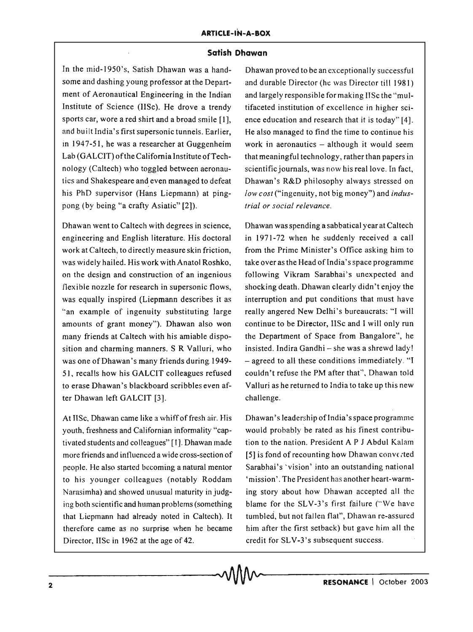## **Satish Dhawan**

In the mid-1950's, Satish Dhawan was a handsome and dashing young professor at the Department of Aeronautical Engineering in the Indian Institute of Science (IISc). He drove a trendy sports car, wore a red shirt and a broad smile [1], and built India's first supersonic tunnels. Earlier, in 1947-51, he was a researcher at Guggenheim Lab (G ALCIT) of the California Institute of Technology (Caltech) who toggled between aeronautics and Shakespeare and even managed to defeat his PhD supervisor (Hans Liepmann) at pingpong (by being "a crafty Asiatic" [2]).

Dhawan went to Caltech with degrees in science, engineering and English literature. His doctoral work at Caltech, to directly measure skin friction, was widely hailed. His work with Anatol Roshko, on the design and construction of an ingenious flexible nozzle for research in supersonic flows, was equally inspired (Liepmann describes it as "an example of ingenuity substituting large amounts of grant money"). Dhawan also won many friends at Caltech with his amiable disposition and charming manners. S R Valluri, who was one of Dhawan's many friends during 1949-51, recalls how his GALCIT colleagues refused to erase Dhawan's blackboard scribbles even after Dhawan left GALCIT [3].

At IISc, Dhawan came like a whiff of fresh air. His youth, freshness and Californian informality "captivated students and colleagues" (1). Dhawan made more friends and influenced a wide cross-section of people. He also started becoming a natural mentor to his younger colleagues (notably Roddam Narasimha) and showed unusual maturity in judging both scientific and human problems (something that Liepmann had already noted in Caltech). It therefore came as no surprise when he became Director, lISc in 1962 at the age of 42.  $\sim 0$ Ma $\sim$ 

Dhawan proved to be an exceptionally successful and durable Director (he was Director till 1981) and largely responsible for making IISc the "multifaceted institution of excellence in higher science education and research that it is today" [4]. He also managed to find the time to continue his work in aeronautics  $-$  although it would seem that meaningful technology, rather than papers in scientific journals, was now his real love. In fact, Dhawan's R&D philosophy always stressed on *low cost* ("ingenuity, not big money") and *industria/ or social relevance.* 

Dhawan was spending a sabbatical year at Caltech in 1971-72 when he suddenly received a call from the Prime Minister's Office asking him to take over as the Head of India's space programme following Vikram Sarabhai's unexpected and shocking death. Dhawan clearly didn't enjoy the interruption and put conditions that must have really angered New Delhi's bureaucrats: "{ will continue to be Director, IISc and I will only run the Department of Space from Bangalore", he insisted. Indira Gandhi - she was a shrewd lady! - agreed to all these conditions immediately. "I couldn't refuse the PM after that", Dhawan told Valluri as he returned to India to take up this new challenge.

Dhawan's leadershipofIndia's space programme would probably be rated as his finest contribution to the nation. President A P J Abdul Kalam [5] is fond of recounting how Dhawan converted Sarabhai's ' vision' into an outstanding national 'mission'. The President has another heart-warming story about how Dhawan accepted all the blame for the SLV-3's first failure ("We have tumbled, but not fallen flat", Dhawan re-assured him after the first setback) but gave him all the credit for SLV-3's subsequent success.